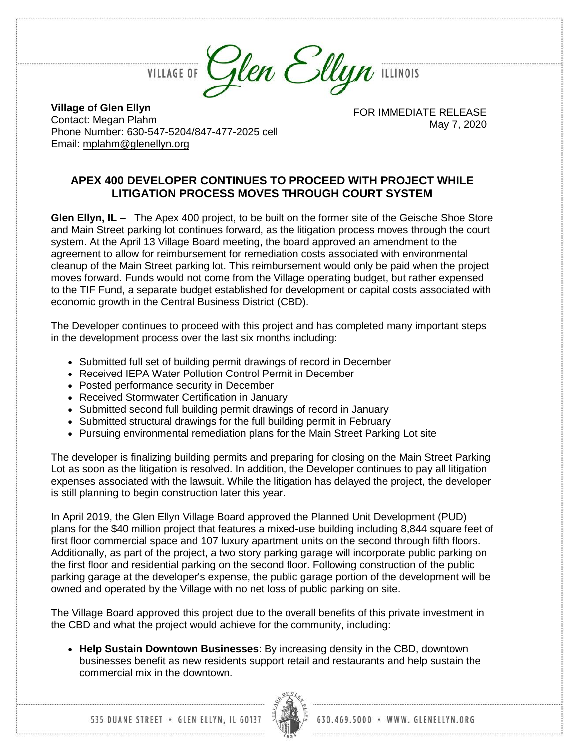

**Village of Glen Ellyn** Contact: Megan Plahm Phone Number: 630-547-5204/847-477-2025 cell Email: [mplahm@glenellyn.org](mailto:mplahm@glenellyn.org)

FOR IMMEDIATE RELEASE May 7, 2020

## **APEX 400 DEVELOPER CONTINUES TO PROCEED WITH PROJECT WHILE LITIGATION PROCESS MOVES THROUGH COURT SYSTEM**

**Glen Ellyn, IL –** The Apex 400 project, to be built on the former site of the Geische Shoe Store and Main Street parking lot continues forward, as the litigation process moves through the court system. At the April 13 Village Board meeting, the board approved an amendment to the agreement to allow for reimbursement for remediation costs associated with environmental cleanup of the Main Street parking lot. This reimbursement would only be paid when the project moves forward. Funds would not come from the Village operating budget, but rather expensed to the TIF Fund, a separate budget established for development or capital costs associated with economic growth in the Central Business District (CBD).

The Developer continues to proceed with this project and has completed many important steps in the development process over the last six months including:

- Submitted full set of building permit drawings of record in December
- Received IEPA Water Pollution Control Permit in December
- Posted performance security in December
- Received Stormwater Certification in January
- Submitted second full building permit drawings of record in January
- Submitted structural drawings for the full building permit in February
- Pursuing environmental remediation plans for the Main Street Parking Lot site

The developer is finalizing building permits and preparing for closing on the Main Street Parking Lot as soon as the litigation is resolved. In addition, the Developer continues to pay all litigation expenses associated with the lawsuit. While the litigation has delayed the project, the developer is still planning to begin construction later this year.

In April 2019, the Glen Ellyn Village Board approved the Planned Unit Development (PUD) plans for the \$40 million project that features a mixed-use building including 8,844 square feet of first floor commercial space and 107 luxury apartment units on the second through fifth floors. Additionally, as part of the project, a two story parking garage will incorporate public parking on the first floor and residential parking on the second floor. Following construction of the public parking garage at the developer's expense, the public garage portion of the development will be owned and operated by the Village with no net loss of public parking on site.

The Village Board approved this project due to the overall benefits of this private investment in the CBD and what the project would achieve for the community, including:

 **Help Sustain Downtown Businesses**: By increasing density in the CBD, downtown businesses benefit as new residents support retail and restaurants and help sustain the commercial mix in the downtown.